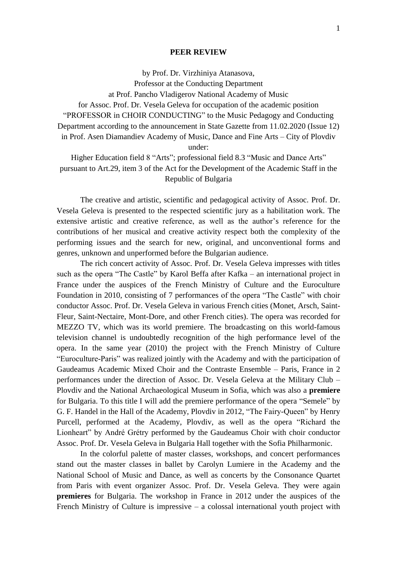## **PEER REVIEW**

by Prof. Dr. Virzhiniya Atanasova, Professor at the Conducting Department at Prof. Pancho Vladigerov National Academy of Music for Assoc. Prof. Dr. Vesela Geleva for occupation of the academic position "PROFESSOR in CHOIR CONDUCTING" to the Music Pedagogy and Conducting Department according to the announcement in State Gazette from 11.02.2020 (Issue 12) in Prof. Asen Diamandiev Academy of Music, Dance and Fine Arts – City of Plovdiv under:

Higher Education field 8 "Arts"; professional field 8.3 "Music and Dance Arts" pursuant to Art.29, item 3 of the Act for the Development of the Academic Staff in the Republic of Bulgaria

The creative and artistic, scientific and pedagogical activity of Assoc. Prof. Dr. Vesela Geleva is presented to the respected scientific jury as a habilitation work. The extensive artistic and creative reference, as well as the author's reference for the contributions of her musical and creative activity respect both the complexity of the performing issues and the search for new, original, and unconventional forms and genres, unknown and unperformed before the Bulgarian audience.

The rich concert activity of Assoc. Prof. Dr. Vesela Geleva impresses with titles such as the opera "The Castle" by Karol Beffa after Kafka – an international project in France under the auspices of the French Ministry of Culture and the Euroculture Foundation in 2010, consisting of 7 performances of the opera "The Castle" with choir conductor Assoc. Prof. Dr. Vesela Geleva in various French cities (Monet, Arsch, Saint-Fleur, Saint-Nectaire, Mont-Dore, and other French cities). The opera was recorded for MEZZO TV, which was its world premiere. The broadcasting on this world-famous television channel is undoubtedly recognition of the high performance level of the opera. In the same year (2010) the project with the French Ministry of Culture "Euroculture-Paris" was realized jointly with the Academy and with the participation of Gaudeamus Academic Mixed Choir and the Contraste Ensemble – Paris, France in 2 performances under the direction of Assoc. Dr. Vesela Geleva at the Military Club – Plovdiv and the National Archaeological Museum in Sofia, which was also a **premiere** for Bulgaria. To this title I will add the premiere performance of the opera "Semele" by G. F. Handel in the Hall of the Academy, Plovdiv in 2012, "The Fairy-Queen" by Henry Purcell, performed at the Academy, Plovdiv, as well as the opera "Richard the Lionheart" by André Grétry performed by the Gaudeamus Choir with choir conductor Assoc. Prof. Dr. Vesela Geleva in Bulgaria Hall together with the Sofia Philharmonic.

In the colorful palette of master classes, workshops, and concert performances stand out the master classes in ballet by Carolyn Lumiere in the Academy and the National School of Music and Dance, as well as concerts by the Consonance Quartet from Paris with event organizer Assoc. Prof. Dr. Vesela Geleva. They were again **premieres** for Bulgaria. The workshop in France in 2012 under the auspices of the French Ministry of Culture is impressive – a colossal international youth project with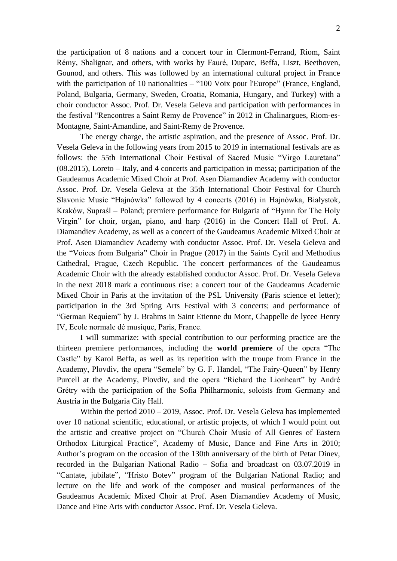the participation of 8 nations and a concert tour in Clermont-Ferrand, Riom, Saint Rémy, Shalignar, and others, with works by Fauré, Duparc, Beffa, Liszt, Beethoven, Gounod, and others. This was followed by an international cultural project in France with the participation of 10 nationalities – "100 Voix pour l'Europe" (France, England, Poland, Bulgaria, Germany, Sweden, Croatia, Romania, Hungary, and Turkey) with a choir conductor Assoc. Prof. Dr. Vesela Geleva and participation with performances in the festival "Rencontres a Saint Remy de Provence" in 2012 in Chalinargues, Riom-es-Montagne, Saint-Amandine, and Saint-Remy de Provence.

The energy charge, the artistic aspiration, and the presence of Assoc. Prof. Dr. Vesela Geleva in the following years from 2015 to 2019 in international festivals are as follows: the 55th International Choir Festival of Sacred Music "Virgo Lauretana" (08.2015), Loreto – Italy, and 4 concerts and participation in messa; participation of the Gaudeamus Academic Mixed Choir at Prof. Asen Diamandiev Academy with conductor Assoc. Prof. Dr. Vesela Geleva at the 35th International Choir Festival for Church Slavonic Music "Hajnówka" followed by 4 concerts (2016) in Hajnówka, Białystok, Kraków, Supraśl – Poland; premiere performance for Bulgaria of "Hymn for The Holy Virgin" for choir, organ, piano, and harp (2016) in the Concert Hall of Prof. A. Diamandiev Academy, as well as a concert of the Gaudeamus Academic Mixed Choir at Prof. Asen Diamandiev Academy with conductor Assoc. Prof. Dr. Vesela Geleva and the "Voices from Bulgaria" Choir in Prague (2017) in the Saints Cyril and Methodius Cathedral, Prague, Czech Republic. The concert performances of the Gaudeamus Academic Choir with the already established conductor Assoc. Prof. Dr. Vesela Geleva in the next 2018 mark a continuous rise: a concert tour of the Gaudeamus Academic Mixed Choir in Paris at the invitation of the PSL University (Paris science et letter); participation in the 3rd Spring Arts Festival with 3 concerts; and performance of "German Requiem" by J. Brahms in Saint Etienne du Mont, Chappelle de lycee Henry IV, Ecole normale dé musique, Paris, France.

I will summarize: with special contribution to our performing practice are the thirteen premiere performances, including the **world premiere** of the opera "The Castle" by Karol Beffa, as well as its repetition with the troupe from France in the Academy, Plovdiv, the opera "Semele" by G. F. Handel, "The Fairy-Queen" by Henry Purcell at the Academy, Plovdiv, and the opera "Richard the Lionheart" by André Grétry with the participation of the Sofia Philharmonic, soloists from Germany and Austria in the Bulgaria City Hall.

Within the period 2010 – 2019, Assoc. Prof. Dr. Vesela Geleva has implemented over 10 national scientific, educational, or artistic projects, of which I would point out the artistic and creative project on "Church Choir Music of All Genres of Eastern Orthodox Liturgical Practice", Academy of Music, Dance and Fine Arts in 2010; Author's program on the occasion of the 130th anniversary of the birth of Petar Dinev, recorded in the Bulgarian National Radio – Sofia and broadcast on 03.07.2019 in "Cantate, jubilate", "Hristo Botev" program of the Bulgarian National Radio; and lecture on the life and work of the composer and musical performances of the Gaudeamus Academic Mixed Choir at Prof. Asen Diamandiev Academy of Music, Dance and Fine Arts with conductor Assoc. Prof. Dr. Vesela Geleva.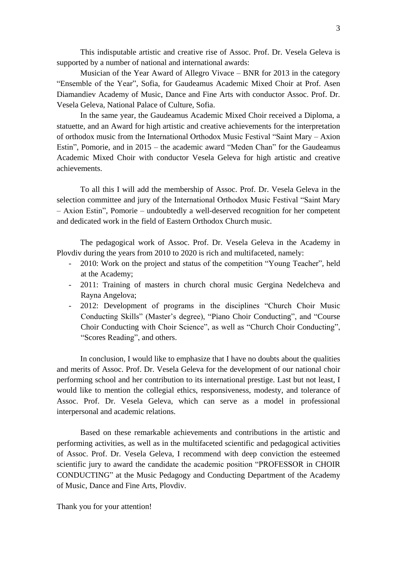This indisputable artistic and creative rise of Assoc. Prof. Dr. Vesela Geleva is supported by a number of national and international awards:

Musician of the Year Award of Allegro Vivace – BNR for 2013 in the category "Ensemble of the Year", Sofia, for Gaudeamus Academic Mixed Choir at Prof. Asen Diamandiev Academy of Music, Dance and Fine Arts with conductor Assoc. Prof. Dr. Vesela Geleva, National Palace of Culture, Sofia.

In the same year, the Gaudeamus Academic Mixed Choir received a Diploma, a statuette, and an Award for high artistic and creative achievements for the interpretation of orthodox music from the International Orthodox Music Festival "Saint Mary – Axion Estin", Pomorie, and in 2015 – the academic award "Meden Chan" for the Gaudeamus Academic Mixed Choir with conductor Vesela Geleva for high artistic and creative achievements.

To all this I will add the membership of Assoc. Prof. Dr. Vesela Geleva in the selection committee and jury of the International Orthodox Music Festival "Saint Mary – Axion Estin", Pomorie – undoubtedly a well-deserved recognition for her competent and dedicated work in the field of Eastern Orthodox Church music.

The pedagogical work of Assoc. Prof. Dr. Vesela Geleva in the Academy in Plovdiv during the years from 2010 to 2020 is rich and multifaceted, namely:

- 2010: Work on the project and status of the competition "Young Teacher", held at the Academy;
- 2011: Training of masters in church choral music Gergina Nedelcheva and Rayna Angelova;
- 2012: Development of programs in the disciplines "Church Choir Music Conducting Skills" (Master's degree), "Piano Choir Conducting", and "Course Choir Conducting with Choir Science", as well as "Church Choir Conducting", "Scores Reading", and others.

In conclusion, I would like to emphasize that I have no doubts about the qualities and merits of Assoc. Prof. Dr. Vesela Geleva for the development of our national choir performing school and her contribution to its international prestige. Last but not least, I would like to mention the collegial ethics, responsiveness, modesty, and tolerance of Assoc. Prof. Dr. Vesela Geleva, which can serve as a model in professional interpersonal and academic relations.

Based on these remarkable achievements and contributions in the artistic and performing activities, as well as in the multifaceted scientific and pedagogical activities of Assoc. Prof. Dr. Vesela Geleva, I recommend with deep conviction the esteemed scientific jury to award the candidate the academic position "PROFESSOR in CHOIR CONDUCTING" at the Music Pedagogy and Conducting Department of the Academy of Music, Dance and Fine Arts, Plovdiv.

Thank you for your attention!